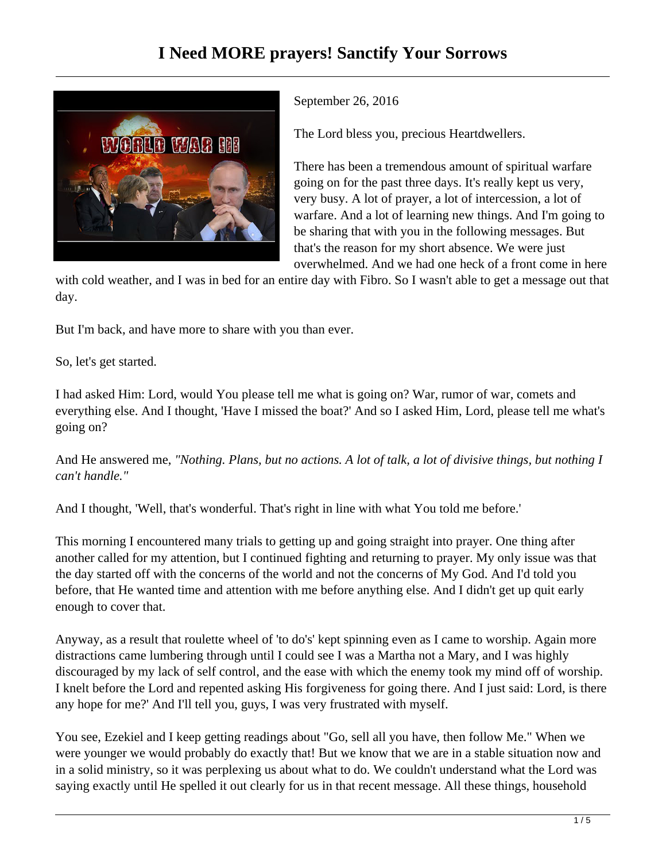

September 26, 2016

The Lord bless you, precious Heartdwellers.

There has been a tremendous amount of spiritual warfare going on for the past three days. It's really kept us very, very busy. A lot of prayer, a lot of intercession, a lot of warfare. And a lot of learning new things. And I'm going to be sharing that with you in the following messages. But that's the reason for my short absence. We were just overwhelmed. And we had one heck of a front come in here

with cold weather, and I was in bed for an entire day with Fibro. So I wasn't able to get a message out that day.

But I'm back, and have more to share with you than ever.

So, let's get started.

I had asked Him: Lord, would You please tell me what is going on? War, rumor of war, comets and everything else. And I thought, 'Have I missed the boat?' And so I asked Him, Lord, please tell me what's going on?

And He answered me, *"Nothing. Plans, but no actions. A lot of talk, a lot of divisive things, but nothing I can't handle."*

And I thought, 'Well, that's wonderful. That's right in line with what You told me before.'

This morning I encountered many trials to getting up and going straight into prayer. One thing after another called for my attention, but I continued fighting and returning to prayer. My only issue was that the day started off with the concerns of the world and not the concerns of My God. And I'd told you before, that He wanted time and attention with me before anything else. And I didn't get up quit early enough to cover that.

Anyway, as a result that roulette wheel of 'to do's' kept spinning even as I came to worship. Again more distractions came lumbering through until I could see I was a Martha not a Mary, and I was highly discouraged by my lack of self control, and the ease with which the enemy took my mind off of worship. I knelt before the Lord and repented asking His forgiveness for going there. And I just said: Lord, is there any hope for me?' And I'll tell you, guys, I was very frustrated with myself.

You see, Ezekiel and I keep getting readings about "Go, sell all you have, then follow Me." When we were younger we would probably do exactly that! But we know that we are in a stable situation now and in a solid ministry, so it was perplexing us about what to do. We couldn't understand what the Lord was saying exactly until He spelled it out clearly for us in that recent message. All these things, household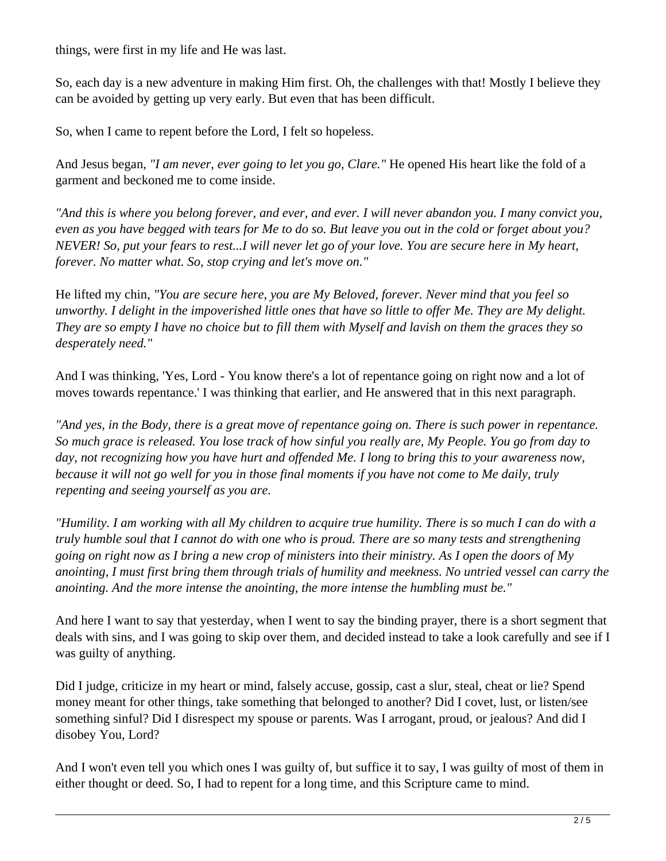things, were first in my life and He was last.

So, each day is a new adventure in making Him first. Oh, the challenges with that! Mostly I believe they can be avoided by getting up very early. But even that has been difficult.

So, when I came to repent before the Lord, I felt so hopeless.

And Jesus began, *"I am never, ever going to let you go, Clare."* He opened His heart like the fold of a garment and beckoned me to come inside.

*"And this is where you belong forever, and ever, and ever. I will never abandon you. I many convict you, even as you have begged with tears for Me to do so. But leave you out in the cold or forget about you? NEVER! So, put your fears to rest...I will never let go of your love. You are secure here in My heart, forever. No matter what. So, stop crying and let's move on."*

He lifted my chin, *"You are secure here, you are My Beloved, forever. Never mind that you feel so unworthy. I delight in the impoverished little ones that have so little to offer Me. They are My delight. They are so empty I have no choice but to fill them with Myself and lavish on them the graces they so desperately need."*

And I was thinking, 'Yes, Lord - You know there's a lot of repentance going on right now and a lot of moves towards repentance.' I was thinking that earlier, and He answered that in this next paragraph.

*"And yes, in the Body, there is a great move of repentance going on. There is such power in repentance. So much grace is released. You lose track of how sinful you really are, My People. You go from day to day, not recognizing how you have hurt and offended Me. I long to bring this to your awareness now, because it will not go well for you in those final moments if you have not come to Me daily, truly repenting and seeing yourself as you are.*

*"Humility. I am working with all My children to acquire true humility. There is so much I can do with a truly humble soul that I cannot do with one who is proud. There are so many tests and strengthening going on right now as I bring a new crop of ministers into their ministry. As I open the doors of My anointing, I must first bring them through trials of humility and meekness. No untried vessel can carry the anointing. And the more intense the anointing, the more intense the humbling must be."* 

And here I want to say that yesterday, when I went to say the binding prayer, there is a short segment that deals with sins, and I was going to skip over them, and decided instead to take a look carefully and see if I was guilty of anything.

Did I judge, criticize in my heart or mind, falsely accuse, gossip, cast a slur, steal, cheat or lie? Spend money meant for other things, take something that belonged to another? Did I covet, lust, or listen/see something sinful? Did I disrespect my spouse or parents. Was I arrogant, proud, or jealous? And did I disobey You, Lord?

And I won't even tell you which ones I was guilty of, but suffice it to say, I was guilty of most of them in either thought or deed. So, I had to repent for a long time, and this Scripture came to mind.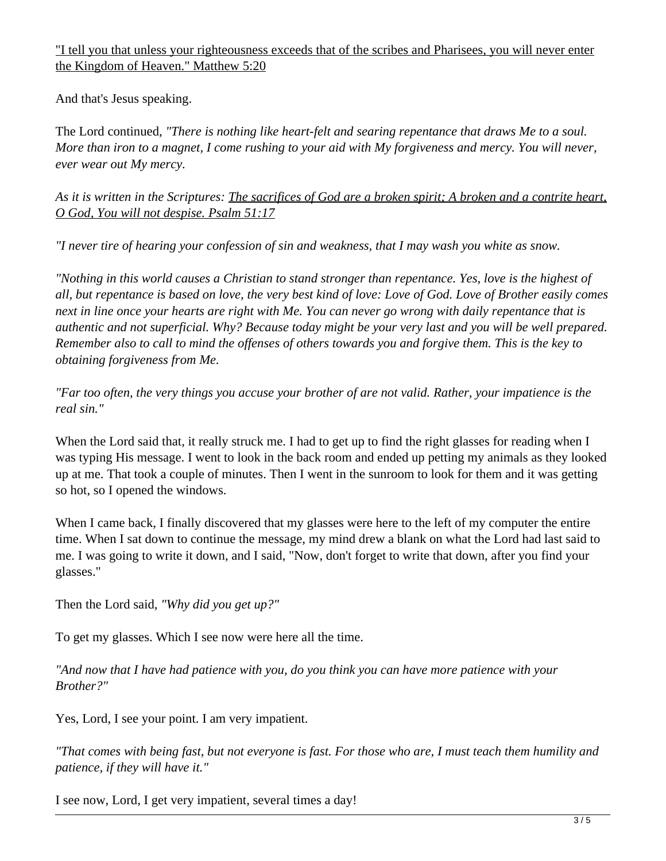"I tell you that unless your righteousness exceeds that of the scribes and Pharisees, you will never enter the Kingdom of Heaven." Matthew 5:20

And that's Jesus speaking.

The Lord continued, *"There is nothing like heart-felt and searing repentance that draws Me to a soul. More than iron to a magnet, I come rushing to your aid with My forgiveness and mercy. You will never, ever wear out My mercy.*

*As it is written in the Scriptures: The sacrifices of God are a broken spirit; A broken and a contrite heart, O God, You will not despise. Psalm 51:17*

*"I never tire of hearing your confession of sin and weakness, that I may wash you white as snow.*

*"Nothing in this world causes a Christian to stand stronger than repentance. Yes, love is the highest of all, but repentance is based on love, the very best kind of love: Love of God. Love of Brother easily comes next in line once your hearts are right with Me. You can never go wrong with daily repentance that is authentic and not superficial. Why? Because today might be your very last and you will be well prepared. Remember also to call to mind the offenses of others towards you and forgive them. This is the key to obtaining forgiveness from Me.*

*"Far too often, the very things you accuse your brother of are not valid. Rather, your impatience is the real sin."*

When the Lord said that, it really struck me. I had to get up to find the right glasses for reading when I was typing His message. I went to look in the back room and ended up petting my animals as they looked up at me. That took a couple of minutes. Then I went in the sunroom to look for them and it was getting so hot, so I opened the windows.

When I came back, I finally discovered that my glasses were here to the left of my computer the entire time. When I sat down to continue the message, my mind drew a blank on what the Lord had last said to me. I was going to write it down, and I said, "Now, don't forget to write that down, after you find your glasses."

Then the Lord said, *"Why did you get up?"*

To get my glasses. Which I see now were here all the time.

*"And now that I have had patience with you, do you think you can have more patience with your Brother?"* 

Yes, Lord, I see your point. I am very impatient.

*"That comes with being fast, but not everyone is fast. For those who are, I must teach them humility and patience, if they will have it."* 

I see now, Lord, I get very impatient, several times a day!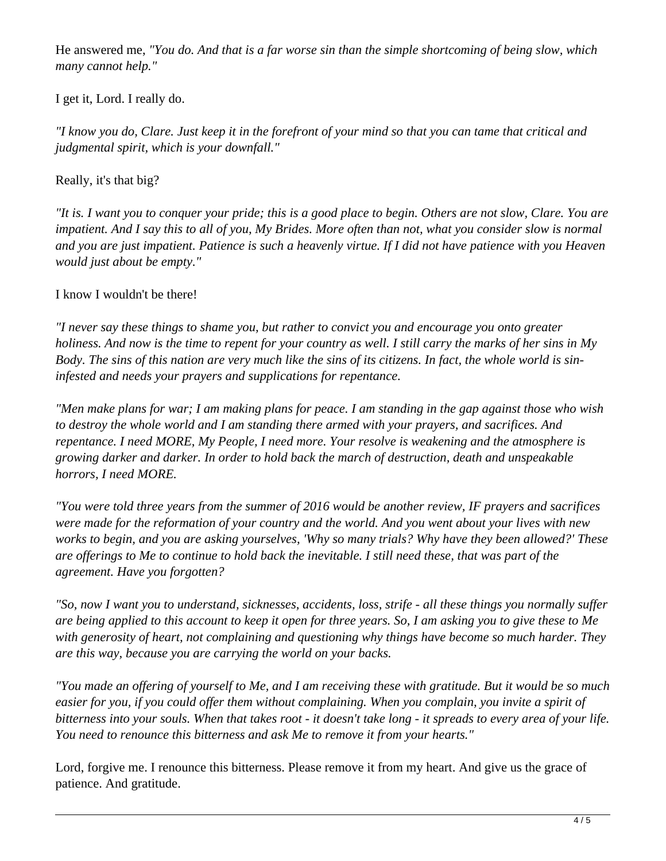He answered me, *"You do. And that is a far worse sin than the simple shortcoming of being slow, which many cannot help."*

I get it, Lord. I really do.

*"I know you do, Clare. Just keep it in the forefront of your mind so that you can tame that critical and judgmental spirit, which is your downfall."*

Really, it's that big?

*"It is. I want you to conquer your pride; this is a good place to begin. Others are not slow, Clare. You are impatient. And I say this to all of you, My Brides. More often than not, what you consider slow is normal and you are just impatient. Patience is such a heavenly virtue. If I did not have patience with you Heaven would just about be empty."*

I know I wouldn't be there!

*"I never say these things to shame you, but rather to convict you and encourage you onto greater holiness. And now is the time to repent for your country as well. I still carry the marks of her sins in My Body. The sins of this nation are very much like the sins of its citizens. In fact, the whole world is sininfested and needs your prayers and supplications for repentance.*

*"Men make plans for war; I am making plans for peace. I am standing in the gap against those who wish to destroy the whole world and I am standing there armed with your prayers, and sacrifices. And repentance. I need MORE, My People, I need more. Your resolve is weakening and the atmosphere is growing darker and darker. In order to hold back the march of destruction, death and unspeakable horrors, I need MORE.* 

*"You were told three years from the summer of 2016 would be another review, IF prayers and sacrifices were made for the reformation of your country and the world. And you went about your lives with new works to begin, and you are asking yourselves, 'Why so many trials? Why have they been allowed?' These are offerings to Me to continue to hold back the inevitable. I still need these, that was part of the agreement. Have you forgotten?*

*"So, now I want you to understand, sicknesses, accidents, loss, strife - all these things you normally suffer are being applied to this account to keep it open for three years. So, I am asking you to give these to Me with generosity of heart, not complaining and questioning why things have become so much harder. They are this way, because you are carrying the world on your backs.* 

*"You made an offering of yourself to Me, and I am receiving these with gratitude. But it would be so much easier for you, if you could offer them without complaining. When you complain, you invite a spirit of bitterness into your souls. When that takes root - it doesn't take long - it spreads to every area of your life. You need to renounce this bitterness and ask Me to remove it from your hearts."*

Lord, forgive me. I renounce this bitterness. Please remove it from my heart. And give us the grace of patience. And gratitude.